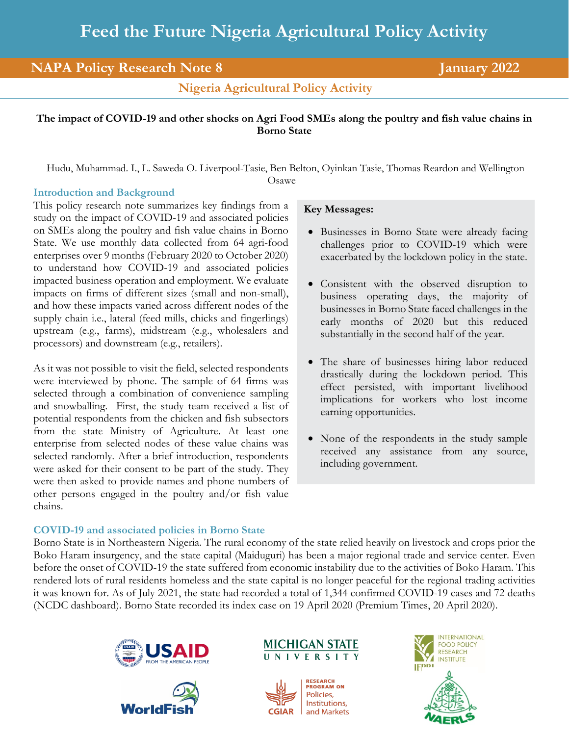# **NAPA Policy Research Note 8 January 2022**

**Nigeria Agricultural Policy Activity**

### **The impact of COVID-19 and other shocks on Agri Food SMEs along the poultry and fish value chains in Borno State**

Hudu, Muhammad. I., L. Saweda O. Liverpool-Tasie, Ben Belton, Oyinkan Tasie, Thomas Reardon and Wellington

Osawe

#### **Introduction and Background**

This policy research note summarizes key findings from a study on the impact of COVID-19 and associated policies on SMEs along the poultry and fish value chains in Borno State. We use monthly data collected from 64 agri-food enterprises over 9 months (February 2020 to October 2020) to understand how COVID-19 and associated policies impacted business operation and employment. We evaluate impacts on firms of different sizes (small and non-small), and how these impacts varied across different nodes of the supply chain i.e., lateral (feed mills, chicks and fingerlings) upstream (e.g., farms), midstream (e.g., wholesalers and processors) and downstream (e.g., retailers).

As it was not possible to visit the field, selected respondents were interviewed by phone. The sample of 64 firms was selected through a combination of convenience sampling and snowballing. First, the study team received a list of potential respondents from the chicken and fish subsectors from the state Ministry of Agriculture. At least one enterprise from selected nodes of these value chains was selected randomly. After a brief introduction, respondents were asked for their consent to be part of the study. They were then asked to provide names and phone numbers of other persons engaged in the poultry and/or fish value chains.

## **COVID-19 and associated policies in Borno State**

# **Key Messages:**

- Businesses in Borno State were already facing challenges prior to COVID-19 which were exacerbated by the lockdown policy in the state.
- Consistent with the observed disruption to business operating days, the majority of businesses in Borno State faced challenges in the early months of 2020 but this reduced substantially in the second half of the year.
- The share of businesses hiring labor reduced drastically during the lockdown period. This effect persisted, with important livelihood implications for workers who lost income earning opportunities.
- None of the respondents in the study sample received any assistance from any source, including government.

Borno State is in Northeastern Nigeria. The rural economy of the state relied heavily on livestock and crops prior the Boko Haram insurgency, and the state capital (Maiduguri) has been a major regional trade and service center. Even before the onset of COVID-19 the state suffered from economic instability due to the activities of Boko Haram. This rendered lots of rural residents homeless and the state capital is no longer peaceful for the regional trading activities it was known for. As of July 2021, the state had recorded a total of 1,344 confirmed COVID-19 cases and 72 deaths (NCDC dashboard). Borno State recorded its index case on 19 April 2020 (Premium Times, 20 April 2020).









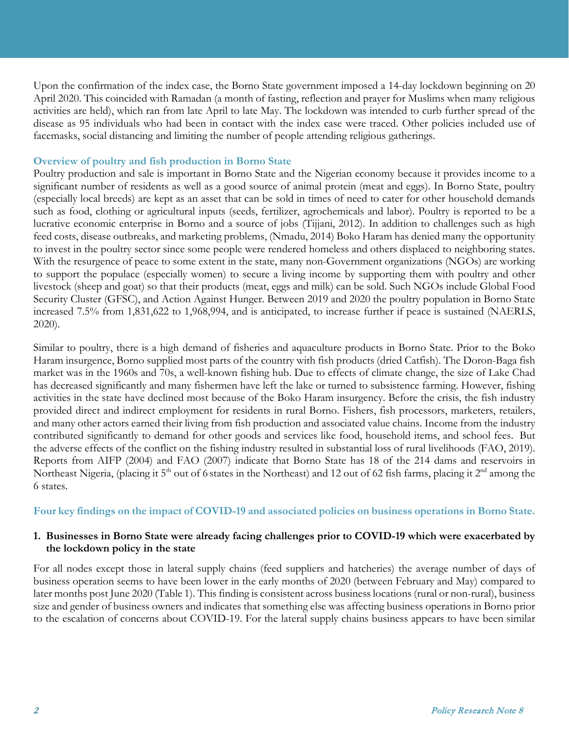Upon the confirmation of the index case, the Borno State government imposed a 14-day lockdown beginning on 20 April 2020. This coincided with Ramadan (a month of fasting, reflection and prayer for Muslims when many religious activities are held), which ran from late April to late May. The lockdown was intended to curb further spread of the disease as 95 individuals who had been in contact with the index case were traced. Other policies included use of facemasks, social distancing and limiting the number of people attending religious gatherings.

### **Overview of poultry and fish production in Borno State**

Poultry production and sale is important in Borno State and the Nigerian economy because it provides income to a significant number of residents as well as a good source of animal protein (meat and eggs). In Borno State, poultry (especially local breeds) are kept as an asset that can be sold in times of need to cater for other household demands such as food, clothing or agricultural inputs (seeds, fertilizer, agrochemicals and labor). Poultry is reported to be a lucrative economic enterprise in Borno and a source of jobs (Tijjani, 2012). In addition to challenges such as high feed costs, disease outbreaks, and marketing problems, (Nmadu, 2014) Boko Haram has denied many the opportunity to invest in the poultry sector since some people were rendered homeless and others displaced to neighboring states. With the resurgence of peace to some extent in the state, many non-Government organizations (NGOs) are working to support the populace (especially women) to secure a living income by supporting them with poultry and other livestock (sheep and goat) so that their products (meat, eggs and milk) can be sold. Such NGOs include Global Food Security Cluster (GFSC), and Action Against Hunger. Between 2019 and 2020 the poultry population in Borno State increased 7.5% from 1,831,622 to 1,968,994, and is anticipated, to increase further if peace is sustained (NAERLS, 2020).

Similar to poultry, there is a high demand of fisheries and aquaculture products in Borno State. Prior to the Boko Haram insurgence, Borno supplied most parts of the country with fish products (dried Catfish). The Doron-Baga fish market was in the 1960s and 70s, a well-known fishing hub. Due to effects of climate change, the size of Lake Chad has decreased significantly and many fishermen have left the lake or turned to subsistence farming. However, fishing activities in the state have declined most because of the Boko Haram insurgency. Before the crisis, the fish industry provided direct and indirect employment for residents in rural Borno. Fishers, fish processors, marketers, retailers, and many other actors earned their living from fish production and associated value chains. Income from the industry contributed significantly to demand for other goods and services like food, household items, and school fees. But the adverse effects of the conflict on the fishing industry resulted in substantial loss of rural livelihoods (FAO, 2019). Reports from AIFP (2004) and FAO (2007) indicate that Borno State has 18 of the 214 dams and reservoirs in Northeast Nigeria, (placing it 5<sup>th</sup> out of 6 states in the Northeast) and 12 out of 62 fish farms, placing it 2<sup>nd</sup> among the 6 states.

#### **Four key findings on the impact of COVID-19 and associated policies on business operations in Borno State.**

#### **1. Businesses in Borno State were already facing challenges prior to COVID-19 which were exacerbated by the lockdown policy in the state**

For all nodes except those in lateral supply chains (feed suppliers and hatcheries) the average number of days of business operation seems to have been lower in the early months of 2020 (between February and May) compared to later months post June 2020 (Table 1). This finding is consistent across business locations (rural or non-rural), business size and gender of business owners and indicates that something else was affecting business operations in Borno prior to the escalation of concerns about COVID-19. For the lateral supply chains business appears to have been similar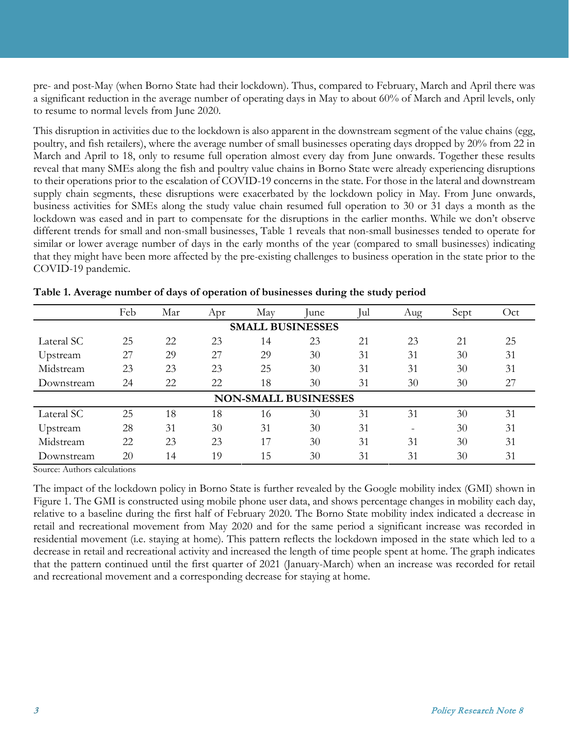pre- and post-May (when Borno State had their lockdown). Thus, compared to February, March and April there was a significant reduction in the average number of operating days in May to about 60% of March and April levels, only to resume to normal levels from June 2020.

This disruption in activities due to the lockdown is also apparent in the downstream segment of the value chains (egg, poultry, and fish retailers), where the average number of small businesses operating days dropped by 20% from 22 in March and April to 18, only to resume full operation almost every day from June onwards. Together these results reveal that many SMEs along the fish and poultry value chains in Borno State were already experiencing disruptions to their operations prior to the escalation of COVID-19 concerns in the state. For those in the lateral and downstream supply chain segments, these disruptions were exacerbated by the lockdown policy in May. From June onwards, business activities for SMEs along the study value chain resumed full operation to 30 or 31 days a month as the lockdown was eased and in part to compensate for the disruptions in the earlier months. While we don't observe different trends for small and non-small businesses, Table 1 reveals that non-small businesses tended to operate for similar or lower average number of days in the early months of the year (compared to small businesses) indicating that they might have been more affected by the pre-existing challenges to business operation in the state prior to the COVID-19 pandemic.

|                             | Feb | Mar | Apr | May | lune. | Jul | Aug                      | Sept | Oct |
|-----------------------------|-----|-----|-----|-----|-------|-----|--------------------------|------|-----|
| <b>SMALL BUSINESSES</b>     |     |     |     |     |       |     |                          |      |     |
| Lateral SC                  | 25  | 22  | 23  | 14  | 23    | 21  | 23                       | 21   | 25  |
| Upstream                    | 27  | 29  | 27  | 29  | 30    | 31  | 31                       | 30   | 31  |
| Midstream                   | 23  | 23  | 23  | 25  | 30    | 31  | 31                       | 30   | 31  |
| Downstream                  | 24  | 22  | 22  | 18  | 30    | 31  | 30                       | 30   | 27  |
| <b>NON-SMALL BUSINESSES</b> |     |     |     |     |       |     |                          |      |     |
| Lateral SC                  | 25  | 18  | 18  | 16  | 30    | 31  | 31                       | 30   | 31  |
| Upstream                    | 28  | 31  | 30  | 31  | 30    | 31  | $\overline{\phantom{a}}$ | 30   | 31  |
| Midstream                   | 22  | 23  | 23  | 17  | 30    | 31  | 31                       | 30   | 31  |
| Downstream                  | 20  | 14  | 19  | 15  | 30    | 31  | 31                       | 30   | 31  |

**Table 1. Average number of days of operation of businesses during the study period**

Source: Authors calculations

The impact of the lockdown policy in Borno State is further revealed by the Google mobility index (GMI) shown in Figure 1. The GMI is constructed using mobile phone user data, and shows percentage changes in mobility each day, relative to a baseline during the first half of February 2020. The Borno State mobility index indicated a decrease in retail and recreational movement from May 2020 and for the same period a significant increase was recorded in residential movement (i.e. staying at home). This pattern reflects the lockdown imposed in the state which led to a decrease in retail and recreational activity and increased the length of time people spent at home. The graph indicates that the pattern continued until the first quarter of 2021 (January-March) when an increase was recorded for retail and recreational movement and a corresponding decrease for staying at home.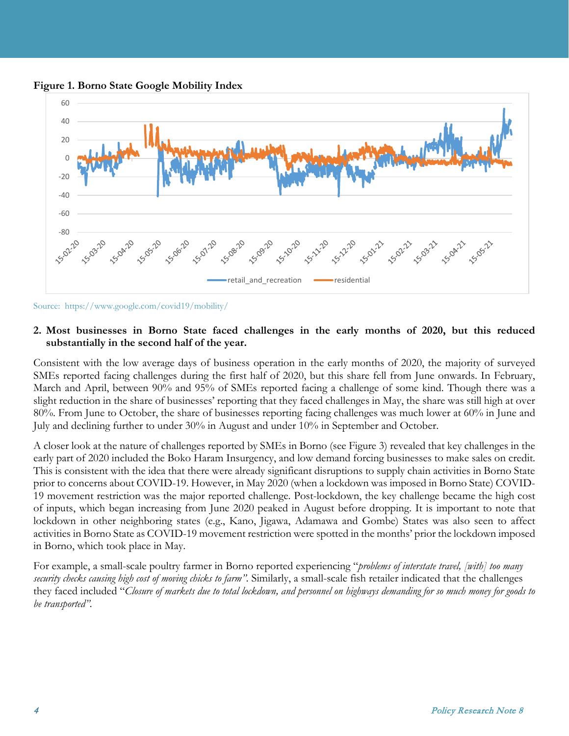



Source: https://www.google.com/covid19/mobility/

#### **2. Most businesses in Borno State faced challenges in the early months of 2020, but this reduced substantially in the second half of the year.**

Consistent with the low average days of business operation in the early months of 2020, the majority of surveyed SMEs reported facing challenges during the first half of 2020, but this share fell from June onwards. In February, March and April, between 90% and 95% of SMEs reported facing a challenge of some kind. Though there was a slight reduction in the share of businesses' reporting that they faced challenges in May, the share was still high at over 80%. From June to October, the share of businesses reporting facing challenges was much lower at 60% in June and July and declining further to under 30% in August and under 10% in September and October.

A closer look at the nature of challenges reported by SMEs in Borno (see Figure 3) revealed that key challenges in the early part of 2020 included the Boko Haram Insurgency, and low demand forcing businesses to make sales on credit. This is consistent with the idea that there were already significant disruptions to supply chain activities in Borno State prior to concerns about COVID-19. However, in May 2020 (when a lockdown was imposed in Borno State) COVID-19 movement restriction was the major reported challenge. Post-lockdown, the key challenge became the high cost of inputs, which began increasing from June 2020 peaked in August before dropping. It is important to note that lockdown in other neighboring states (e.g., Kano, Jigawa, Adamawa and Gombe) States was also seen to affect activities in Borno State as COVID-19 movement restriction were spotted in the months' prior the lockdown imposed in Borno, which took place in May.

For example, a small-scale poultry farmer in Borno reported experiencing "*problems of interstate travel, [with] too many security checks causing high cost of moving chicks to farm".* Similarly, a small-scale fish retailer indicated that the challenges they faced included "*Closure of markets due to total lockdown, and personnel on highways demanding for so much money for goods to be transported".*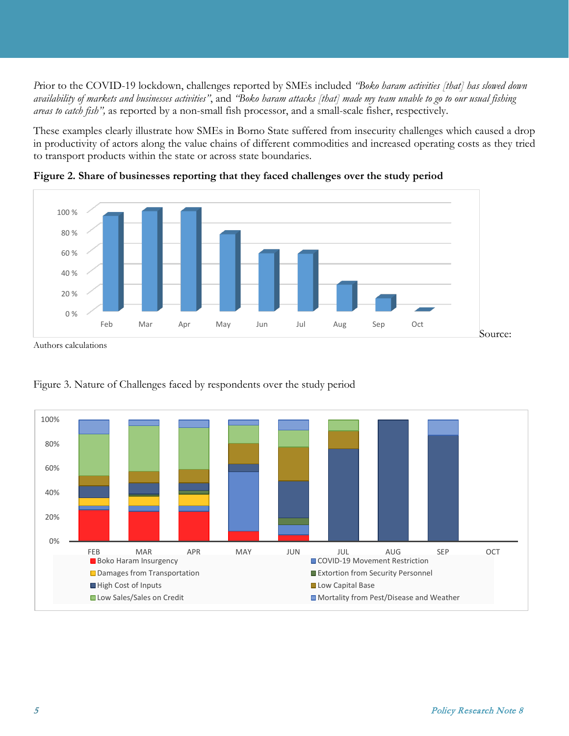*P*rior to the COVID-19 lockdown, challenges reported by SMEs included *"Boko haram activities [that] has slowed down availability of markets and businesses activities"*, and *"Boko haram attacks [that] made my team unable to go to our usual fishing areas to catch fish",* as reported by a non-small fish processor, and a small-scale fisher, respectively.

These examples clearly illustrate how SMEs in Borno State suffered from insecurity challenges which caused a drop in productivity of actors along the value chains of different commodities and increased operating costs as they tried to transport products within the state or across state boundaries.



**Figure 2. Share of businesses reporting that they faced challenges over the study period**

Authors calculations



Figure 3. Nature of Challenges faced by respondents over the study period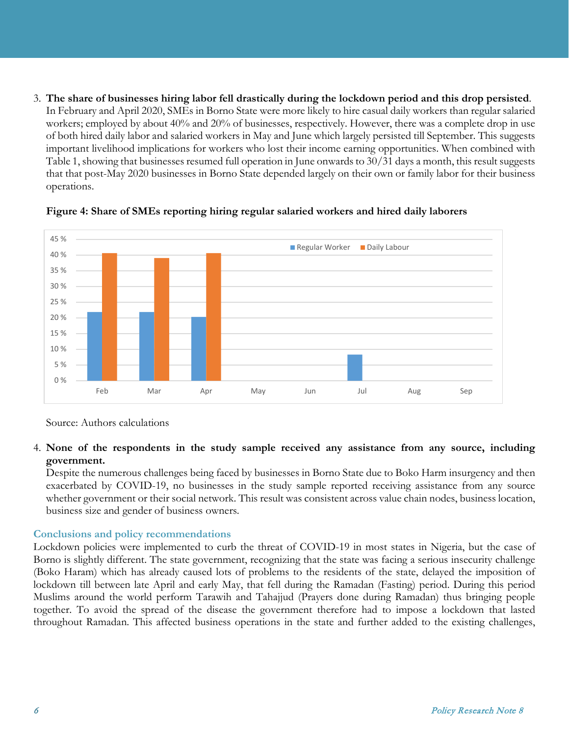3. **The share of businesses hiring labor fell drastically during the lockdown period and this drop persisted**. In February and April 2020, SMEs in Borno State were more likely to hire casual daily workers than regular salaried workers; employed by about 40% and 20% of businesses, respectively. However, there was a complete drop in use of both hired daily labor and salaried workers in May and June which largely persisted till September. This suggests important livelihood implications for workers who lost their income earning opportunities. When combined with Table 1, showing that businesses resumed full operation in June onwards to 30/31 days a month, this result suggests that that post-May 2020 businesses in Borno State depended largely on their own or family labor for their business operations.



**Figure 4: Share of SMEs reporting hiring regular salaried workers and hired daily laborers** 

Source: Authors calculations

## 4. **None of the respondents in the study sample received any assistance from any source, including government.**

Despite the numerous challenges being faced by businesses in Borno State due to Boko Harm insurgency and then exacerbated by COVID-19, no businesses in the study sample reported receiving assistance from any source whether government or their social network. This result was consistent across value chain nodes, business location, business size and gender of business owners.

# **Conclusions and policy recommendations**

Lockdown policies were implemented to curb the threat of COVID-19 in most states in Nigeria, but the case of Borno is slightly different. The state government, recognizing that the state was facing a serious insecurity challenge (Boko Haram) which has already caused lots of problems to the residents of the state, delayed the imposition of lockdown till between late April and early May, that fell during the Ramadan (Fasting) period. During this period Muslims around the world perform Tarawih and Tahajjud (Prayers done during Ramadan) thus bringing people together. To avoid the spread of the disease the government therefore had to impose a lockdown that lasted throughout Ramadan. This affected business operations in the state and further added to the existing challenges,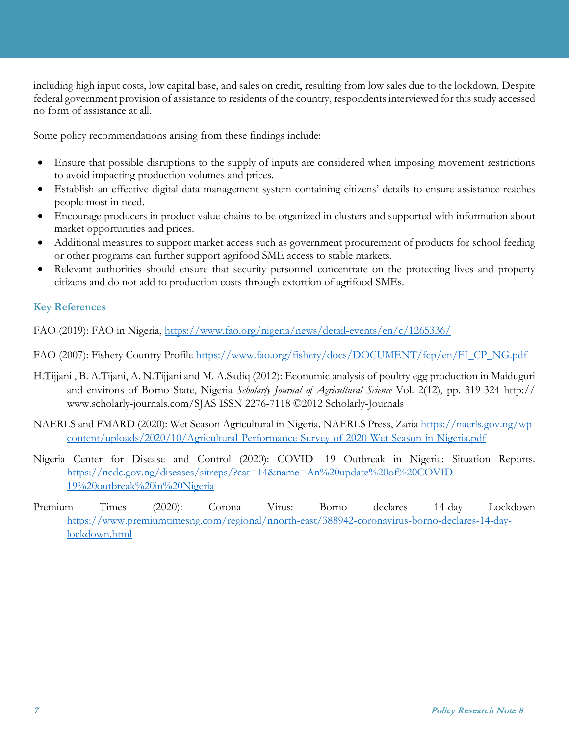including high input costs, low capital base, and sales on credit, resulting from low sales due to the lockdown. Despite federal government provision of assistance to residents of the country, respondents interviewed for this study accessed no form of assistance at all.

Some policy recommendations arising from these findings include:

- Ensure that possible disruptions to the supply of inputs are considered when imposing movement restrictions to avoid impacting production volumes and prices.
- Establish an effective digital data management system containing citizens' details to ensure assistance reaches people most in need.
- Encourage producers in product value-chains to be organized in clusters and supported with information about market opportunities and prices.
- Additional measures to support market access such as government procurement of products for school feeding or other programs can further support agrifood SME access to stable markets.
- Relevant authorities should ensure that security personnel concentrate on the protecting lives and property citizens and do not add to production costs through extortion of agrifood SMEs.

# **Key References**

FAO (2019): FAO in Nigeria,<https://www.fao.org/nigeria/news/detail-events/en/c/1265336/>

FAO (2007): Fishery Country Profile [https://www.fao.org/fishery/docs/DOCUMENT/fcp/en/FI\\_CP\\_NG.pdf](https://www.fao.org/fishery/docs/DOCUMENT/fcp/en/FI_CP_NG.pdf)

- H.Tijjani , B. A.Tijani, A. N.Tijjani and M. A.Sadiq (2012): Economic analysis of poultry egg production in Maiduguri and environs of Borno State, Nigeria *Scholarly Journal of Agricultural Science* Vol. 2(12), pp. 319-324 http:// www.scholarly-journals.com/SJAS ISSN 2276-7118 ©2012 Scholarly-Journals
- NAERLS and FMARD (2020): Wet Season Agricultural in Nigeria. NAERLS Press, Zaria [https://naerls.gov.ng/wp](https://naerls.gov.ng/wp-content/uploads/2020/10/Agricultural-Performance-Survey-of-2020-Wet-Season-in-Nigeria.pdf)[content/uploads/2020/10/Agricultural-Performance-Survey-of-2020-Wet-Season-in-Nigeria.pdf](https://naerls.gov.ng/wp-content/uploads/2020/10/Agricultural-Performance-Survey-of-2020-Wet-Season-in-Nigeria.pdf)
- Nigeria Center for Disease and Control (2020): COVID -19 Outbreak in Nigeria: Situation Reports. [https://ncdc.gov.ng/diseases/sitreps/?cat=14&name=An%20update%20of%20COVID-](https://ncdc.gov.ng/diseases/sitreps/?cat=14&name=An%20update%20of%20COVID-19%20outbreak%20in%20Nigeria)[19%20outbreak%20in%20Nigeria](https://ncdc.gov.ng/diseases/sitreps/?cat=14&name=An%20update%20of%20COVID-19%20outbreak%20in%20Nigeria)
- Premium Times (2020): Corona Virus: Borno declares 14-day Lockdown [https://www.premiumtimesng.com/regional/nnorth-east/388942-coronavirus-borno-declares-14-day](https://www.premiumtimesng.com/regional/nnorth-east/388942-coronavirus-borno-declares-14-day-lockdown.html)[lockdown.html](https://www.premiumtimesng.com/regional/nnorth-east/388942-coronavirus-borno-declares-14-day-lockdown.html)